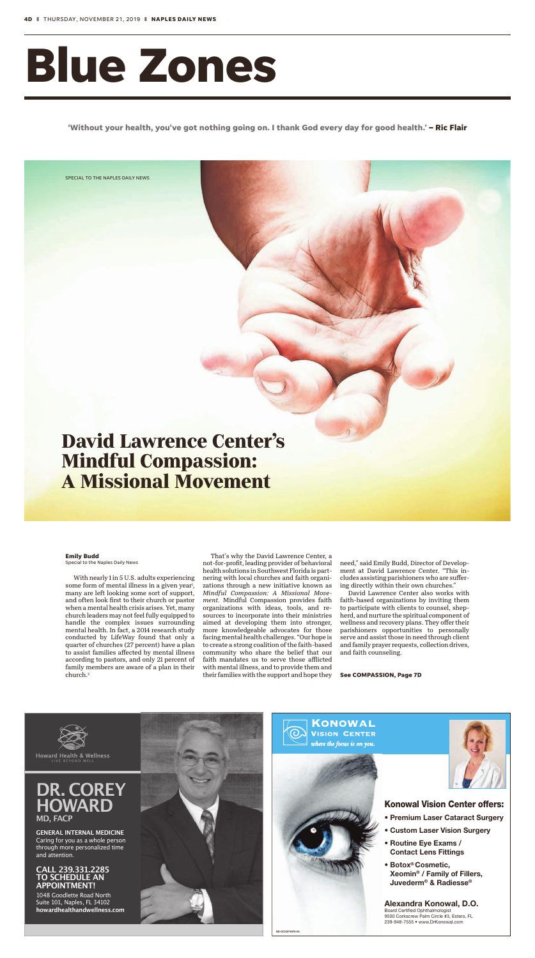

# **Blue Zones**

**'Without your health, you've got nothing going on. I thank God every day for good health.' – Ric Flair**

With nearly 1 in 5 U.S. adults experiencing some form of mental illness in a given year<sup>1</sup>, many are left looking some sort of support, and often look first to their church or pastor when a mental health crisis arises. Yet, many church leaders may not feel fully equipped to handle the complex issues surrounding mental health. In fact, a 2014 research study conducted by LifeWay found that only a quarter of churches (27 percent) have a plan to assist families affected by mental illness according to pastors, and only 21 percent of family members are aware of a plan in their church.2

That's why the David Lawrence Center, a not-for-profit, leading provider of behavioral health solutions in Southwest Florida is partnering with local churches and faith organizations through a new initiative known as *Mindful Compassion: A Missional Movement.* Mindful Compassion provides faith organizations with ideas, tools, and resources to incorporate into their ministries aimed at developing them into stronger, more knowledgeable advocates for those facing mental health challenges. "Our hope is to create a strong coalition of the faith-based community who share the belief that our faith mandates us to serve those afflicted with mental illness, and to provide them and their families with the support and hope they

need," said Emily Budd, Director of Development at David Lawrence Center. "This includes assisting parishioners who are suffering directly within their own churches."

David Lawrence Center also works with faith-based organizations by inviting them to participate with clients to counsel, shepherd, and nurture the spiritual component of wellness and recovery plans. They offer their parishioners opportunities to personally serve and assist those in need through client and family prayer requests, collection drives, and faith counseling.

SPECIAL TO THE NAPLES DAILY NEWS

## **David Lawrence Center's Mindful Compassion: A Missional Movement**

#### **Emily Budd** Special to the Naples Daily News

### **See COMPASSION, Page 7D**